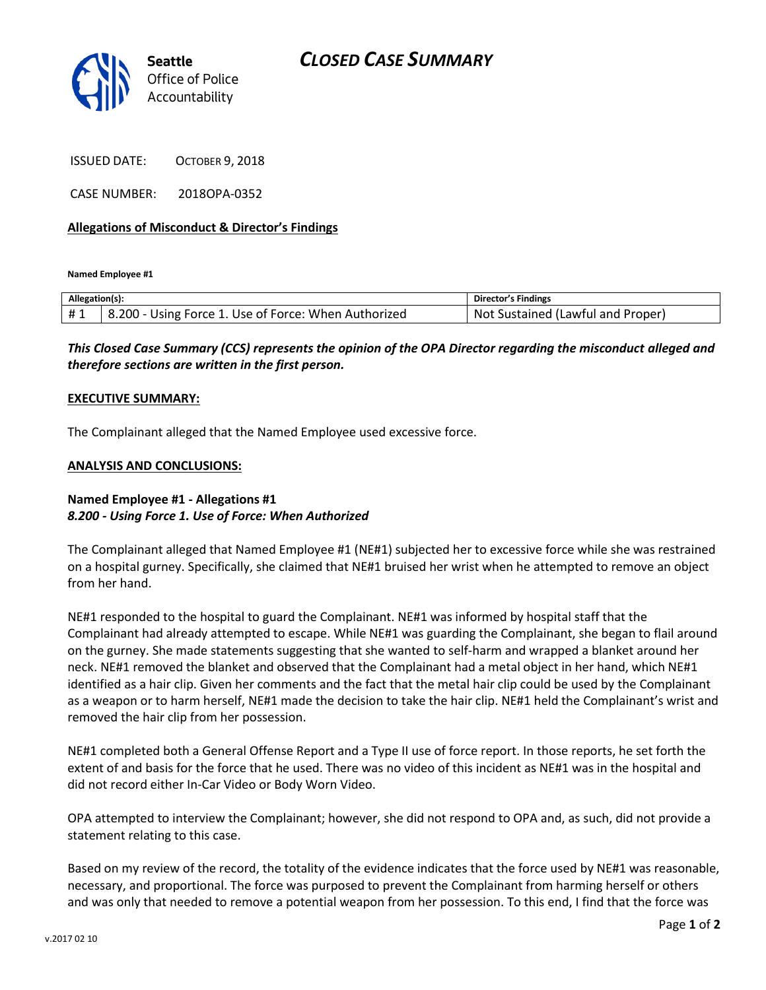# *CLOSED CASE SUMMARY*



ISSUED DATE: OCTOBER 9, 2018

CASE NUMBER: 2018OPA-0352

### **Allegations of Misconduct & Director's Findings**

**Named Employee #1**

| Allegation(s): |                                                      | Director's Findings               |
|----------------|------------------------------------------------------|-----------------------------------|
| #1             | 8.200 - Using Force 1. Use of Force: When Authorized | Not Sustained (Lawful and Proper) |

*This Closed Case Summary (CCS) represents the opinion of the OPA Director regarding the misconduct alleged and therefore sections are written in the first person.* 

#### **EXECUTIVE SUMMARY:**

The Complainant alleged that the Named Employee used excessive force.

#### **ANALYSIS AND CONCLUSIONS:**

## **Named Employee #1 - Allegations #1** *8.200 - Using Force 1. Use of Force: When Authorized*

The Complainant alleged that Named Employee #1 (NE#1) subjected her to excessive force while she was restrained on a hospital gurney. Specifically, she claimed that NE#1 bruised her wrist when he attempted to remove an object from her hand.

NE#1 responded to the hospital to guard the Complainant. NE#1 was informed by hospital staff that the Complainant had already attempted to escape. While NE#1 was guarding the Complainant, she began to flail around on the gurney. She made statements suggesting that she wanted to self-harm and wrapped a blanket around her neck. NE#1 removed the blanket and observed that the Complainant had a metal object in her hand, which NE#1 identified as a hair clip. Given her comments and the fact that the metal hair clip could be used by the Complainant as a weapon or to harm herself, NE#1 made the decision to take the hair clip. NE#1 held the Complainant's wrist and removed the hair clip from her possession.

NE#1 completed both a General Offense Report and a Type II use of force report. In those reports, he set forth the extent of and basis for the force that he used. There was no video of this incident as NE#1 was in the hospital and did not record either In-Car Video or Body Worn Video.

OPA attempted to interview the Complainant; however, she did not respond to OPA and, as such, did not provide a statement relating to this case.

Based on my review of the record, the totality of the evidence indicates that the force used by NE#1 was reasonable, necessary, and proportional. The force was purposed to prevent the Complainant from harming herself or others and was only that needed to remove a potential weapon from her possession. To this end, I find that the force was